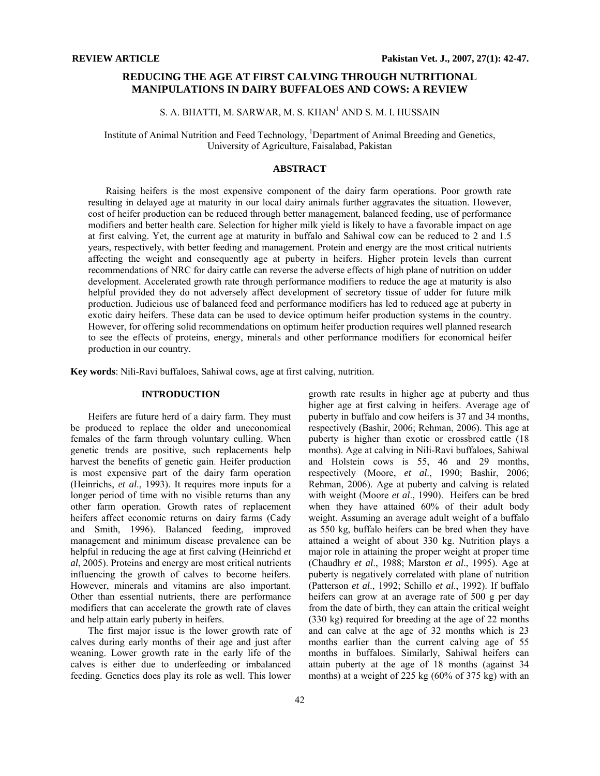## **REDUCING THE AGE AT FIRST CALVING THROUGH NUTRITIONAL MANIPULATIONS IN DAIRY BUFFALOES AND COWS: A REVIEW**

# S. A. BHATTI, M. SARWAR, M. S. KHAN<sup>1</sup> AND S. M. I. HUSSAIN

Institute of Animal Nutrition and Feed Technology, <sup>1</sup>Department of Animal Breeding and Genetics, University of Agriculture, Faisalabad, Pakistan

## **ABSTRACT**

Raising heifers is the most expensive component of the dairy farm operations. Poor growth rate resulting in delayed age at maturity in our local dairy animals further aggravates the situation. However, cost of heifer production can be reduced through better management, balanced feeding, use of performance modifiers and better health care. Selection for higher milk yield is likely to have a favorable impact on age at first calving. Yet, the current age at maturity in buffalo and Sahiwal cow can be reduced to 2 and 1.5 years, respectively, with better feeding and management. Protein and energy are the most critical nutrients affecting the weight and consequently age at puberty in heifers. Higher protein levels than current recommendations of NRC for dairy cattle can reverse the adverse effects of high plane of nutrition on udder development. Accelerated growth rate through performance modifiers to reduce the age at maturity is also helpful provided they do not adversely affect development of secretory tissue of udder for future milk production. Judicious use of balanced feed and performance modifiers has led to reduced age at puberty in exotic dairy heifers. These data can be used to device optimum heifer production systems in the country. However, for offering solid recommendations on optimum heifer production requires well planned research to see the effects of proteins, energy, minerals and other performance modifiers for economical heifer production in our country.

**Key words**: Nili-Ravi buffaloes, Sahiwal cows, age at first calving, nutrition.

### **INTRODUCTION**

Heifers are future herd of a dairy farm. They must be produced to replace the older and uneconomical females of the farm through voluntary culling. When genetic trends are positive, such replacements help harvest the benefits of genetic gain. Heifer production is most expensive part of the dairy farm operation (Heinrichs, *et al*., 1993). It requires more inputs for a longer period of time with no visible returns than any other farm operation. Growth rates of replacement heifers affect economic returns on dairy farms (Cady and Smith, 1996). Balanced feeding, improved management and minimum disease prevalence can be helpful in reducing the age at first calving (Heinrichd *et al*, 2005). Proteins and energy are most critical nutrients influencing the growth of calves to become heifers. However, minerals and vitamins are also important. Other than essential nutrients, there are performance modifiers that can accelerate the growth rate of claves and help attain early puberty in heifers.

The first major issue is the lower growth rate of calves during early months of their age and just after weaning. Lower growth rate in the early life of the calves is either due to underfeeding or imbalanced feeding. Genetics does play its role as well. This lower

growth rate results in higher age at puberty and thus higher age at first calving in heifers. Average age of puberty in buffalo and cow heifers is 37 and 34 months, respectively (Bashir, 2006; Rehman, 2006). This age at puberty is higher than exotic or crossbred cattle (18 months). Age at calving in Nili-Ravi buffaloes, Sahiwal and Holstein cows is 55, 46 and 29 months, respectively (Moore, *et al*., 1990; Bashir, 2006; Rehman, 2006). Age at puberty and calving is related with weight (Moore *et al*., 1990). Heifers can be bred when they have attained 60% of their adult body weight. Assuming an average adult weight of a buffalo as 550 kg, buffalo heifers can be bred when they have attained a weight of about 330 kg. Nutrition plays a major role in attaining the proper weight at proper time (Chaudhry *et al*., 1988; Marston *et al*., 1995). Age at puberty is negatively correlated with plane of nutrition (Patterson *et al*., 1992; Schillo *et al*., 1992). If buffalo heifers can grow at an average rate of 500 g per day from the date of birth, they can attain the critical weight (330 kg) required for breeding at the age of 22 months and can calve at the age of 32 months which is 23 months earlier than the current calving age of 55 months in buffaloes. Similarly, Sahiwal heifers can attain puberty at the age of 18 months (against 34 months) at a weight of 225 kg (60% of 375 kg) with an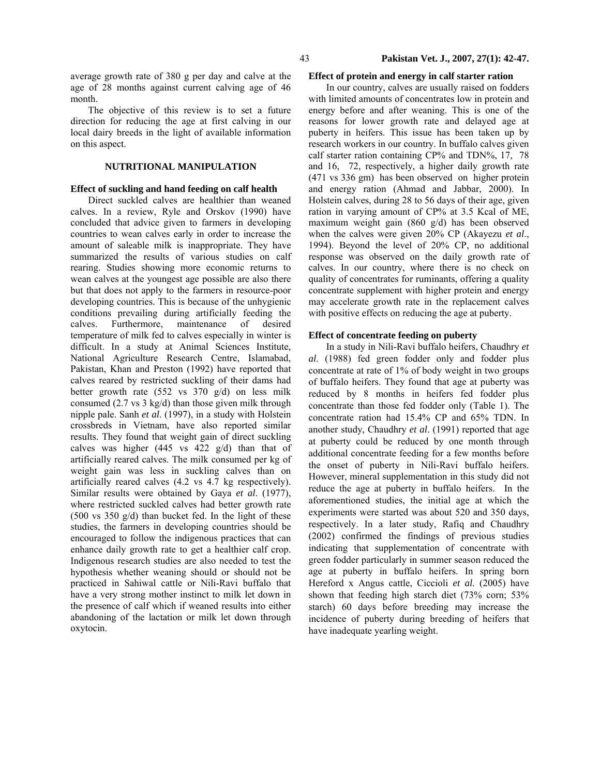#### 43 **Pakistan Vet. J., 2007, 27(1): 42-47.**

average growth rate of 380 g per day and calve at the age of 28 months against current calving age of 46 month.

The objective of this review is to set a future direction for reducing the age at first calving in our local dairy breeds in the light of available information on this aspect.

## **NUTRITIONAL MANIPULATION**

## **Effect of suckling and hand feeding on calf health**

Direct suckled calves are healthier than weaned calves. In a review, Ryle and Orskov (1990) have concluded that advice given to farmers in developing countries to wean calves early in order to increase the amount of saleable milk is inappropriate. They have summarized the results of various studies on calf rearing. Studies showing more economic returns to wean calves at the youngest age possible are also there but that does not apply to the farmers in resource-poor developing countries. This is because of the unhygienic conditions prevailing during artificially feeding the calves. Furthermore, maintenance of desired temperature of milk fed to calves especially in winter is difficult. In a study at Animal Sciences Institute, National Agriculture Research Centre, Islamabad, Pakistan, Khan and Preston (1992) have reported that calves reared by restricted suckling of their dams had better growth rate (552 vs 370 g/d) on less milk consumed (2.7 vs 3 kg/d) than those given milk through nipple pale. Sanh *et al*. (1997), in a study with Holstein crossbreds in Vietnam, have also reported similar results. They found that weight gain of direct suckling calves was higher  $(445 \text{ vs } 422 \text{ g/d})$  than that of artificially reared calves. The milk consumed per kg of weight gain was less in suckling calves than on artificially reared calves (4.2 vs 4.7 kg respectively). Similar results were obtained by Gaya *et al*. (1977), where restricted suckled calves had better growth rate (500 vs 350 g/d) than bucket fed. In the light of these studies, the farmers in developing countries should be encouraged to follow the indigenous practices that can enhance daily growth rate to get a healthier calf crop. Indigenous research studies are also needed to test the hypothesis whether weaning should or should not be practiced in Sahiwal cattle or Nili-Ravi buffalo that have a very strong mother instinct to milk let down in the presence of calf which if weaned results into either abandoning of the lactation or milk let down through oxytocin.

#### **Effect of protein and energy in calf starter ration**

In our country, calves are usually raised on fodders with limited amounts of concentrates low in protein and energy before and after weaning. This is one of the reasons for lower growth rate and delayed age at puberty in heifers. This issue has been taken up by research workers in our country. In buffalo calves given calf starter ration containing CP% and TDN%, 17, 78 and 16, 72, respectively, a higher daily growth rate (471 vs 336 gm) has been observed on higher protein and energy ration (Ahmad and Jabbar, 2000). In Holstein calves, during 28 to 56 days of their age, given ration in varying amount of CP% at 3.5 Kcal of ME, maximum weight gain (860 g/d) has been observed when the calves were given 20% CP (Akayezu *et al*., 1994). Beyond the level of 20% CP, no additional response was observed on the daily growth rate of calves. In our country, where there is no check on quality of concentrates for ruminants, offering a quality concentrate supplement with higher protein and energy may accelerate growth rate in the replacement calves with positive effects on reducing the age at puberty.

#### **Effect of concentrate feeding on puberty**

In a study in Nili-Ravi buffalo heifers, Chaudhry *et al*. (1988) fed green fodder only and fodder plus concentrate at rate of 1% of body weight in two groups of buffalo heifers. They found that age at puberty was reduced by 8 months in heifers fed fodder plus concentrate than those fed fodder only (Table 1). The concentrate ration had 15.4% CP and 65% TDN. In another study, Chaudhry *et al*. (1991) reported that age at puberty could be reduced by one month through additional concentrate feeding for a few months before the onset of puberty in Nili-Ravi buffalo heifers. However, mineral supplementation in this study did not reduce the age at puberty in buffalo heifers. In the aforementioned studies, the initial age at which the experiments were started was about 520 and 350 days, respectively. In a later study, Rafiq and Chaudhry (2002) confirmed the findings of previous studies indicating that supplementation of concentrate with green fodder particularly in summer season reduced the age at puberty in buffalo heifers. In spring born Hereford x Angus cattle, Ciccioli *et al*. (2005) have shown that feeding high starch diet (73% corn; 53% starch) 60 days before breeding may increase the incidence of puberty during breeding of heifers that have inadequate yearling weight.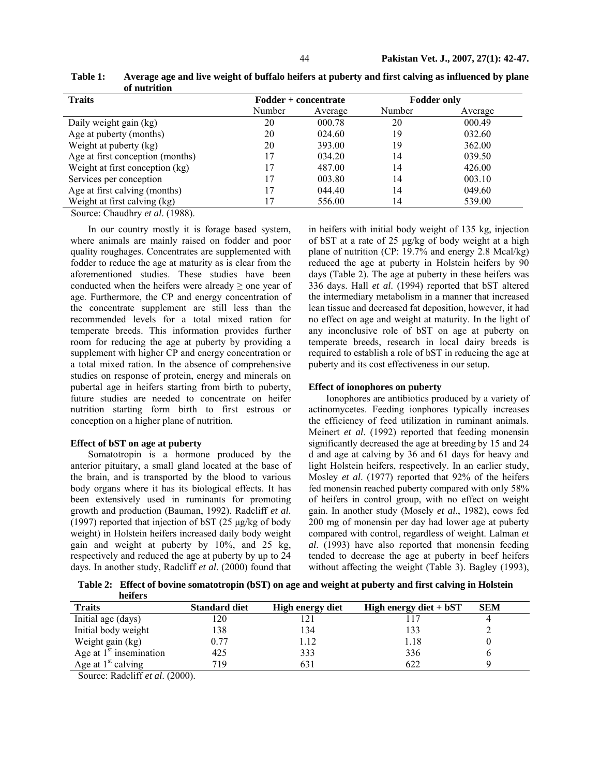| 01.1001110101                    |                      |         |                    |         |
|----------------------------------|----------------------|---------|--------------------|---------|
| <b>Traits</b>                    | Fodder + concentrate |         | <b>Fodder only</b> |         |
|                                  | Number               | Average | Number             | Average |
| Daily weight gain (kg)           | 20                   | 000.78  | 20                 | 000.49  |
| Age at puberty (months)          | 20                   | 024.60  | 19                 | 032.60  |
| Weight at puberty (kg)           | 20                   | 393.00  | 19                 | 362.00  |
| Age at first conception (months) |                      | 034.20  | 14                 | 039.50  |
| Weight at first conception (kg)  |                      | 487.00  | 14                 | 426.00  |
| Services per conception          |                      | 003.80  | 14                 | 003.10  |
| Age at first calving (months)    |                      | 044.40  | 14                 | 049.60  |
| Weight at first calving (kg)     |                      | 556.00  | 14                 | 539.00  |

**Table 1: Average age and live weight of buffalo heifers at puberty and first calving as influenced by plane of nutrition** 

Source: Chaudhry *et al*. (1988).

In our country mostly it is forage based system, where animals are mainly raised on fodder and poor quality roughages. Concentrates are supplemented with fodder to reduce the age at maturity as is clear from the aforementioned studies. These studies have been conducted when the heifers were already  $\geq$  one year of age. Furthermore, the CP and energy concentration of the concentrate supplement are still less than the recommended levels for a total mixed ration for temperate breeds. This information provides further room for reducing the age at puberty by providing a supplement with higher CP and energy concentration or a total mixed ration. In the absence of comprehensive studies on response of protein, energy and minerals on pubertal age in heifers starting from birth to puberty, future studies are needed to concentrate on heifer nutrition starting form birth to first estrous or conception on a higher plane of nutrition.

### **Effect of bST on age at puberty**

Somatotropin is a hormone produced by the anterior pituitary, a small gland located at the base of the brain, and is transported by the blood to various body organs where it has its biological effects. It has been extensively used in ruminants for promoting growth and production (Bauman, 1992). Radcliff *et al*. (1997) reported that injection of bST (25 µg/kg of body weight) in Holstein heifers increased daily body weight gain and weight at puberty by 10%, and 25 kg, respectively and reduced the age at puberty by up to 24 days. In another study, Radcliff *et al*. (2000) found that

in heifers with initial body weight of 135 kg, injection of bST at a rate of 25 µg/kg of body weight at a high plane of nutrition (CP: 19.7% and energy 2.8 Mcal/kg) reduced the age at puberty in Holstein heifers by 90 days (Table 2). The age at puberty in these heifers was 336 days. Hall *et al*. (1994) reported that bST altered the intermediary metabolism in a manner that increased lean tissue and decreased fat deposition, however, it had no effect on age and weight at maturity. In the light of any inconclusive role of bST on age at puberty on temperate breeds, research in local dairy breeds is required to establish a role of bST in reducing the age at puberty and its cost effectiveness in our setup.

## **Effect of ionophores on puberty**

Ionophores are antibiotics produced by a variety of actinomycetes. Feeding ionphores typically increases the efficiency of feed utilization in ruminant animals. Meinert *et al*. (1992) reported that feeding monensin significantly decreased the age at breeding by 15 and 24 d and age at calving by 36 and 61 days for heavy and light Holstein heifers, respectively. In an earlier study, Mosley *et al*. (1977) reported that 92% of the heifers fed monensin reached puberty compared with only 58% of heifers in control group, with no effect on weight gain. In another study (Mosely *et al*., 1982), cows fed 200 mg of monensin per day had lower age at puberty compared with control, regardless of weight. Lalman *et al*. (1993) have also reported that monensin feeding tended to decrease the age at puberty in beef heifers without affecting the weight (Table 3). Bagley (1993),

**Table 2: Effect of bovine somatotropin (bST) on age and weight at puberty and first calving in Holstein heifers** 

| <b>Traits</b>             | <b>Standard diet</b> | <b>High energy diet</b> | High energy diet $+$ bST | <b>SEM</b> |
|---------------------------|----------------------|-------------------------|--------------------------|------------|
| Initial age (days)        | 120                  |                         |                          |            |
| Initial body weight       | 138                  | 134                     | 133                      |            |
| Weight gain (kg)          | 0.77                 | l.12                    | .18                      |            |
| Age at $1st$ insemination | 425                  | 333                     | 336                      |            |
| Age at $1st$ calving      | 719                  | 631                     | 622                      |            |

Source: Radcliff *et al*. (2000).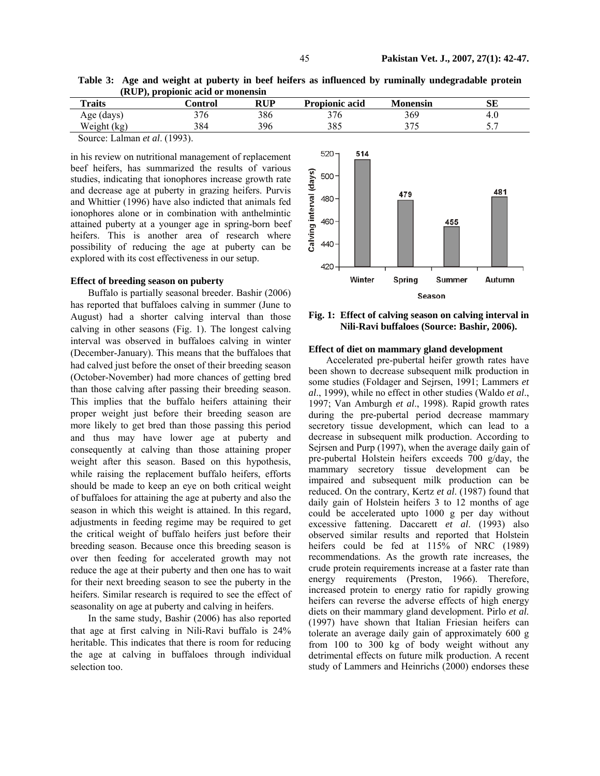**Table 3: Age and weight at puberty in beef heifers as influenced by ruminally undegradable protein (RUP), propionic acid or monensin** 

| <b>Traits</b>                                | <b>Control</b> | <b>RUP</b> | <b>Propionic acid</b> | <b>Monensin</b> | SЕ  |
|----------------------------------------------|----------------|------------|-----------------------|-----------------|-----|
| Age (days)                                   | 376            | 386        | 376                   | 369             | 4.0 |
| Weight (kg)                                  | 384            | 396        | 385                   | 275             |     |
| $\text{Source:}$ I alman <i>at al</i> (1003) |                |            |                       |                 |     |

Source: Lalman *et al*. (1993).

in his review on nutritional management of replacement beef heifers, has summarized the results of various studies, indicating that ionophores increase growth rate and decrease age at puberty in grazing heifers. Purvis and Whittier (1996) have also indicted that animals fed ionophores alone or in combination with anthelmintic attained puberty at a younger age in spring-born beef heifers. This is another area of research where possibility of reducing the age at puberty can be explored with its cost effectiveness in our setup.

#### **Effect of breeding season on puberty**

Buffalo is partially seasonal breeder. Bashir (2006) has reported that buffaloes calving in summer (June to August) had a shorter calving interval than those calving in other seasons (Fig. 1). The longest calving interval was observed in buffaloes calving in winter (December-January). This means that the buffaloes that had calved just before the onset of their breeding season (October-November) had more chances of getting bred than those calving after passing their breeding season. This implies that the buffalo heifers attaining their proper weight just before their breeding season are more likely to get bred than those passing this period and thus may have lower age at puberty and consequently at calving than those attaining proper weight after this season. Based on this hypothesis, while raising the replacement buffalo heifers, efforts should be made to keep an eye on both critical weight of buffaloes for attaining the age at puberty and also the season in which this weight is attained. In this regard, adjustments in feeding regime may be required to get the critical weight of buffalo heifers just before their breeding season. Because once this breeding season is over then feeding for accelerated growth may not reduce the age at their puberty and then one has to wait for their next breeding season to see the puberty in the heifers. Similar research is required to see the effect of seasonality on age at puberty and calving in heifers.

In the same study, Bashir (2006) has also reported that age at first calving in Nili-Ravi buffalo is 24% heritable. This indicates that there is room for reducing the age at calving in buffaloes through individual selection too.



**Fig. 1: Effect of calving season on calving interval in Nili-Ravi buffaloes (Source: Bashir, 2006).** 

### **Effect of diet on mammary gland development**

Accelerated pre-pubertal heifer growth rates have been shown to decrease subsequent milk production in some studies (Foldager and Sejrsen, 1991; Lammers *et al*., 1999), while no effect in other studies (Waldo *et al*., 1997; Van Amburgh *et al*., 1998). Rapid growth rates during the pre-pubertal period decrease mammary secretory tissue development, which can lead to a decrease in subsequent milk production. According to Sejrsen and Purp (1997), when the average daily gain of pre-pubertal Holstein heifers exceeds 700 g/day, the mammary secretory tissue development can be impaired and subsequent milk production can be reduced. On the contrary, Kertz *et al*. (1987) found that daily gain of Holstein heifers 3 to 12 months of age could be accelerated upto 1000 g per day without excessive fattening. Daccarett *et al*. (1993) also observed similar results and reported that Holstein heifers could be fed at 115% of NRC (1989) recommendations. As the growth rate increases, the crude protein requirements increase at a faster rate than energy requirements (Preston, 1966). Therefore, increased protein to energy ratio for rapidly growing heifers can reverse the adverse effects of high energy diets on their mammary gland development. Pirlo *et al*. (1997) have shown that Italian Friesian heifers can tolerate an average daily gain of approximately 600 g from 100 to 300 kg of body weight without any detrimental effects on future milk production. A recent study of Lammers and Heinrichs (2000) endorses these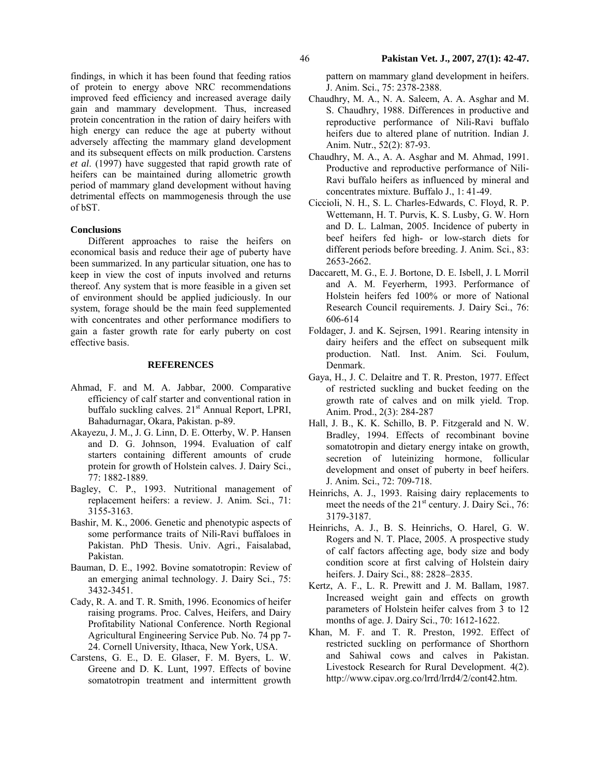findings, in which it has been found that feeding ratios of protein to energy above NRC recommendations improved feed efficiency and increased average daily gain and mammary development. Thus, increased protein concentration in the ration of dairy heifers with high energy can reduce the age at puberty without adversely affecting the mammary gland development and its subsequent effects on milk production. Carstens *et al*. (1997) have suggested that rapid growth rate of heifers can be maintained during allometric growth period of mammary gland development without having detrimental effects on mammogenesis through the use of bST.

#### **Conclusions**

Different approaches to raise the heifers on economical basis and reduce their age of puberty have been summarized. In any particular situation, one has to keep in view the cost of inputs involved and returns thereof. Any system that is more feasible in a given set of environment should be applied judiciously. In our system, forage should be the main feed supplemented with concentrates and other performance modifiers to gain a faster growth rate for early puberty on cost effective basis.

#### **REFERENCES**

- Ahmad, F. and M. A. Jabbar, 2000. Comparative efficiency of calf starter and conventional ration in buffalo suckling calves. 21<sup>st</sup> Annual Report, LPRI, Bahadurnagar, Okara, Pakistan. p-89.
- Akayezu, J. M., J. G. Linn, D. E. Otterby, W. P. Hansen and D. G. Johnson, 1994. Evaluation of calf starters containing different amounts of crude protein for growth of Holstein calves. J. Dairy Sci., 77: 1882-1889.
- Bagley, C. P., 1993. Nutritional management of replacement heifers: a review. J. Anim. Sci., 71: 3155-3163.
- Bashir, M. K., 2006. Genetic and phenotypic aspects of some performance traits of Nili-Ravi buffaloes in Pakistan. PhD Thesis. Univ. Agri., Faisalabad, Pakistan.
- Bauman, D. E., 1992. Bovine somatotropin: Review of an emerging animal technology. J. Dairy Sci., 75: 3432-3451.
- Cady, R. A. and T. R. Smith, 1996. Economics of heifer raising programs. Proc. Calves, Heifers, and Dairy Profitability National Conference. North Regional Agricultural Engineering Service Pub. No. 74 pp 7- 24. Cornell University, Ithaca, New York, USA.
- Carstens, G. E., D. E. Glaser, F. M. Byers, L. W. Greene and D. K. Lunt, 1997. Effects of bovine somatotropin treatment and intermittent growth

pattern on mammary gland development in heifers. J. Anim. Sci., 75: 2378-2388.

- Chaudhry, M. A., N. A. Saleem, A. A. Asghar and M. S. Chaudhry, 1988. Differences in productive and reproductive performance of Nili-Ravi buffalo heifers due to altered plane of nutrition. Indian J. Anim. Nutr., 52(2): 87-93.
- Chaudhry, M. A., A. A. Asghar and M. Ahmad, 1991. Productive and reproductive performance of Nili-Ravi buffalo heifers as influenced by mineral and concentrates mixture. Buffalo J., 1: 41-49.
- Ciccioli, N. H., S. L. Charles-Edwards, C. Floyd, R. P. Wettemann, H. T. Purvis, K. S. Lusby, G. W. Horn and D. L. Lalman, 2005. Incidence of puberty in beef heifers fed high- or low-starch diets for different periods before breeding. J. Anim. Sci., 83: 2653-2662.
- Daccarett, M. G., E. J. Bortone, D. E. Isbell, J. L Morril and A. M. Feyerherm, 1993. Performance of Holstein heifers fed 100% or more of National Research Council requirements. J. Dairy Sci., 76: 606-614
- Foldager, J. and K. Sejrsen, 1991. Rearing intensity in dairy heifers and the effect on subsequent milk production. Natl. Inst. Anim. Sci. Foulum, Denmark.
- Gaya, H., J. C. Delaitre and T. R. Preston, 1977. Effect of restricted suckling and bucket feeding on the growth rate of calves and on milk yield. Trop. Anim. Prod., 2(3): 284-287
- Hall, J. B., K. K. Schillo, B. P. Fitzgerald and N. W. Bradley, 1994. Effects of recombinant bovine somatotropin and dietary energy intake on growth, secretion of luteinizing hormone, follicular development and onset of puberty in beef heifers. J. Anim. Sci., 72: 709-718.
- Heinrichs, A. J., 1993. Raising dairy replacements to meet the needs of the  $21<sup>st</sup>$  century. J. Dairy Sci., 76: 3179-3187.
- Heinrichs, A. J., B. S. Heinrichs, O. Harel, G. W. Rogers and N. T. Place, 2005. A prospective study of calf factors affecting age, body size and body condition score at first calving of Holstein dairy heifers. J. Dairy Sci., 88: 2828–2835.
- Kertz, A. F., L. R. Prewitt and J. M. Ballam, 1987. Increased weight gain and effects on growth parameters of Holstein heifer calves from 3 to 12 months of age. J. Dairy Sci., 70: 1612-1622.
- Khan, M. F. and T. R. Preston, 1992. Effect of restricted suckling on performance of Shorthorn and Sahiwal cows and calves in Pakistan. Livestock Research for Rural Development. 4(2). http://www.cipav.org.co/lrrd/lrrd4/2/cont42.htm.